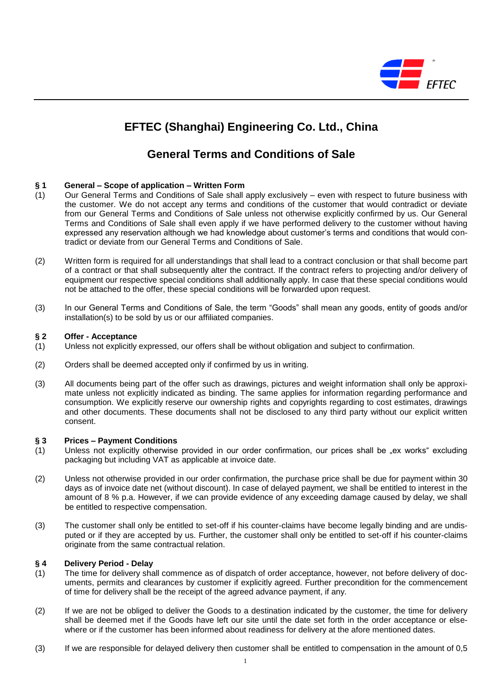

## **EFTEC (Shanghai) Engineering Co. Ltd., China**

### **General Terms and Conditions of Sale**

#### **§ 1 General – Scope of application – Written Form**

- (1) Our General Terms and Conditions of Sale shall apply exclusively even with respect to future business with the customer. We do not accept any terms and conditions of the customer that would contradict or deviate from our General Terms and Conditions of Sale unless not otherwise explicitly confirmed by us. Our General Terms and Conditions of Sale shall even apply if we have performed delivery to the customer without having expressed any reservation although we had knowledge about customer's terms and conditions that would contradict or deviate from our General Terms and Conditions of Sale.
- (2) Written form is required for all understandings that shall lead to a contract conclusion or that shall become part of a contract or that shall subsequently alter the contract. If the contract refers to projecting and/or delivery of equipment our respective special conditions shall additionally apply. In case that these special conditions would not be attached to the offer, these special conditions will be forwarded upon request.
- (3) In our General Terms and Conditions of Sale, the term "Goods" shall mean any goods, entity of goods and/or installation(s) to be sold by us or our affiliated companies.

#### **§ 2 Offer - Acceptance**

- (1) Unless not explicitly expressed, our offers shall be without obligation and subject to confirmation.
- (2) Orders shall be deemed accepted only if confirmed by us in writing.
- (3) All documents being part of the offer such as drawings, pictures and weight information shall only be approximate unless not explicitly indicated as binding. The same applies for information regarding performance and consumption. We explicitly reserve our ownership rights and copyrights regarding to cost estimates, drawings and other documents. These documents shall not be disclosed to any third party without our explicit written consent.

#### **§ 3 Prices – Payment Conditions**

- (1) Unless not explicitly otherwise provided in our order confirmation, our prices shall be "ex works" excluding packaging but including VAT as applicable at invoice date.
- (2) Unless not otherwise provided in our order confirmation, the purchase price shall be due for payment within 30 days as of invoice date net (without discount). In case of delayed payment, we shall be entitled to interest in the amount of 8 % p.a. However, if we can provide evidence of any exceeding damage caused by delay, we shall be entitled to respective compensation.
- (3) The customer shall only be entitled to set-off if his counter-claims have become legally binding and are undisputed or if they are accepted by us. Further, the customer shall only be entitled to set-off if his counter-claims originate from the same contractual relation.

#### **§ 4 Delivery Period - Delay**

- (1) The time for delivery shall commence as of dispatch of order acceptance, however, not before delivery of documents, permits and clearances by customer if explicitly agreed. Further precondition for the commencement of time for delivery shall be the receipt of the agreed advance payment, if any.
- (2) If we are not be obliged to deliver the Goods to a destination indicated by the customer, the time for delivery shall be deemed met if the Goods have left our site until the date set forth in the order acceptance or elsewhere or if the customer has been informed about readiness for delivery at the afore mentioned dates.
- (3) If we are responsible for delayed delivery then customer shall be entitled to compensation in the amount of 0,5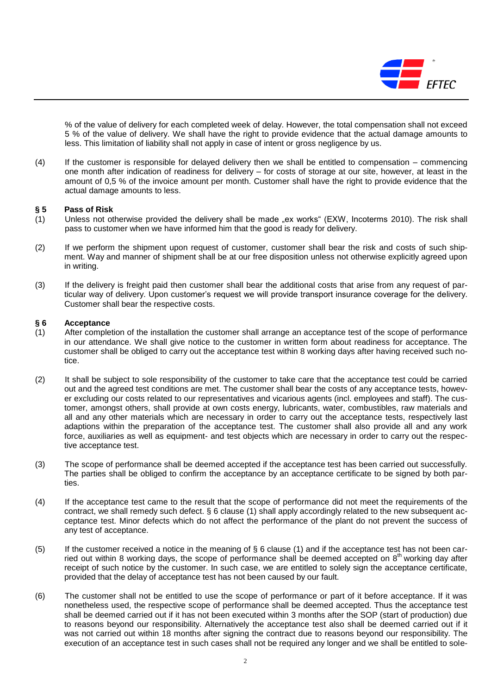

% of the value of delivery for each completed week of delay. However, the total compensation shall not exceed 5 % of the value of delivery. We shall have the right to provide evidence that the actual damage amounts to less. This limitation of liability shall not apply in case of intent or gross negligence by us.

(4) If the customer is responsible for delayed delivery then we shall be entitled to compensation – commencing one month after indication of readiness for delivery – for costs of storage at our site, however, at least in the amount of 0,5 % of the invoice amount per month. Customer shall have the right to provide evidence that the actual damage amounts to less.

#### **§ 5 Pass of Risk**

- (1) Unless not otherwise provided the delivery shall be made "ex works" (EXW, Incoterms 2010). The risk shall pass to customer when we have informed him that the good is ready for delivery.
- (2) If we perform the shipment upon request of customer, customer shall bear the risk and costs of such shipment. Way and manner of shipment shall be at our free disposition unless not otherwise explicitly agreed upon in writing.
- (3) If the delivery is freight paid then customer shall bear the additional costs that arise from any request of particular way of delivery. Upon customer's request we will provide transport insurance coverage for the delivery. Customer shall bear the respective costs.

#### **§ 6 Acceptance**

- (1) After completion of the installation the customer shall arrange an acceptance test of the scope of performance in our attendance. We shall give notice to the customer in written form about readiness for acceptance. The customer shall be obliged to carry out the acceptance test within 8 working days after having received such notice.
- (2) It shall be subject to sole responsibility of the customer to take care that the acceptance test could be carried out and the agreed test conditions are met. The customer shall bear the costs of any acceptance tests, however excluding our costs related to our representatives and vicarious agents (incl. employees and staff). The customer, amongst others, shall provide at own costs energy, lubricants, water, combustibles, raw materials and all and any other materials which are necessary in order to carry out the acceptance tests, respectively last adaptions within the preparation of the acceptance test. The customer shall also provide all and any work force, auxiliaries as well as equipment- and test objects which are necessary in order to carry out the respective acceptance test.
- (3) The scope of performance shall be deemed accepted if the acceptance test has been carried out successfully. The parties shall be obliged to confirm the acceptance by an acceptance certificate to be signed by both parties.
- (4) If the acceptance test came to the result that the scope of performance did not meet the requirements of the contract, we shall remedy such defect. § 6 clause (1) shall apply accordingly related to the new subsequent acceptance test. Minor defects which do not affect the performance of the plant do not prevent the success of any test of acceptance.
- (5) If the customer received a notice in the meaning of  $\S 6$  clause (1) and if the acceptance test has not been carried out within 8 working days, the scope of performance shall be deemed accepted on  $8<sup>th</sup>$  working day after receipt of such notice by the customer. In such case, we are entitled to solely sign the acceptance certificate, provided that the delay of acceptance test has not been caused by our fault.
- (6) The customer shall not be entitled to use the scope of performance or part of it before acceptance. If it was nonetheless used, the respective scope of performance shall be deemed accepted. Thus the acceptance test shall be deemed carried out if it has not been executed within 3 months after the SOP (start of production) due to reasons beyond our responsibility. Alternatively the acceptance test also shall be deemed carried out if it was not carried out within 18 months after signing the contract due to reasons beyond our responsibility. The execution of an acceptance test in such cases shall not be required any longer and we shall be entitled to sole-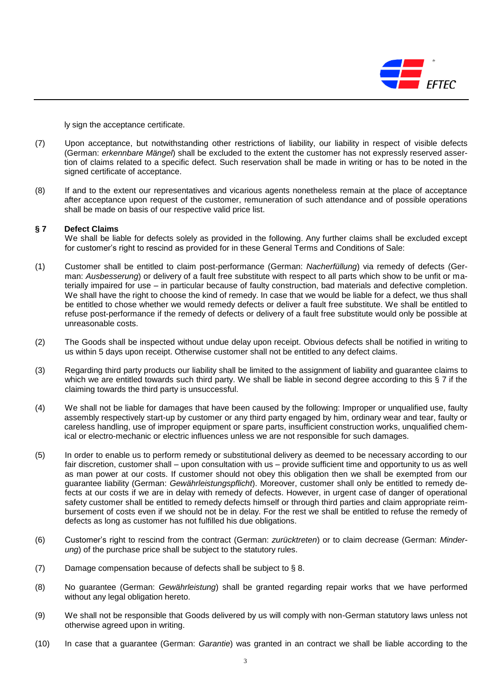

ly sign the acceptance certificate.

- (7) Upon acceptance, but notwithstanding other restrictions of liability, our liability in respect of visible defects (German: *erkennbare Mängel*) shall be excluded to the extent the customer has not expressly reserved assertion of claims related to a specific defect. Such reservation shall be made in writing or has to be noted in the signed certificate of acceptance.
- (8) If and to the extent our representatives and vicarious agents nonetheless remain at the place of acceptance after acceptance upon request of the customer, remuneration of such attendance and of possible operations shall be made on basis of our respective valid price list.

#### **§ 7 Defect Claims**

We shall be liable for defects solely as provided in the following. Any further claims shall be excluded except for customer's right to rescind as provided for in these General Terms and Conditions of Sale:

- (1) Customer shall be entitled to claim post-performance (German: *Nacherfüllung*) via remedy of defects (German: *Ausbesserung*) or delivery of a fault free substitute with respect to all parts which show to be unfit or materially impaired for use – in particular because of faulty construction, bad materials and defective completion. We shall have the right to choose the kind of remedy. In case that we would be liable for a defect, we thus shall be entitled to chose whether we would remedy defects or deliver a fault free substitute. We shall be entitled to refuse post-performance if the remedy of defects or delivery of a fault free substitute would only be possible at unreasonable costs.
- (2) The Goods shall be inspected without undue delay upon receipt. Obvious defects shall be notified in writing to us within 5 days upon receipt. Otherwise customer shall not be entitled to any defect claims.
- (3) Regarding third party products our liability shall be limited to the assignment of liability and guarantee claims to which we are entitled towards such third party. We shall be liable in second degree according to this § 7 if the claiming towards the third party is unsuccessful.
- (4) We shall not be liable for damages that have been caused by the following: Improper or unqualified use, faulty assembly respectively start-up by customer or any third party engaged by him, ordinary wear and tear, faulty or careless handling, use of improper equipment or spare parts, insufficient construction works, unqualified chemical or electro-mechanic or electric influences unless we are not responsible for such damages.
- (5) In order to enable us to perform remedy or substitutional delivery as deemed to be necessary according to our fair discretion, customer shall – upon consultation with us – provide sufficient time and opportunity to us as well as man power at our costs. If customer should not obey this obligation then we shall be exempted from our guarantee liability (German: *Gewährleistungspflicht*). Moreover, customer shall only be entitled to remedy defects at our costs if we are in delay with remedy of defects. However, in urgent case of danger of operational safety customer shall be entitled to remedy defects himself or through third parties and claim appropriate reimbursement of costs even if we should not be in delay. For the rest we shall be entitled to refuse the remedy of defects as long as customer has not fulfilled his due obligations.
- (6) Customer's right to rescind from the contract (German: *zurücktreten*) or to claim decrease (German: *Minderung*) of the purchase price shall be subject to the statutory rules.
- (7) Damage compensation because of defects shall be subject to § 8.
- (8) No guarantee (German: *Gewährleistung*) shall be granted regarding repair works that we have performed without any legal obligation hereto.
- (9) We shall not be responsible that Goods delivered by us will comply with non-German statutory laws unless not otherwise agreed upon in writing.
- (10) In case that a guarantee (German: *Garantie*) was granted in an contract we shall be liable according to the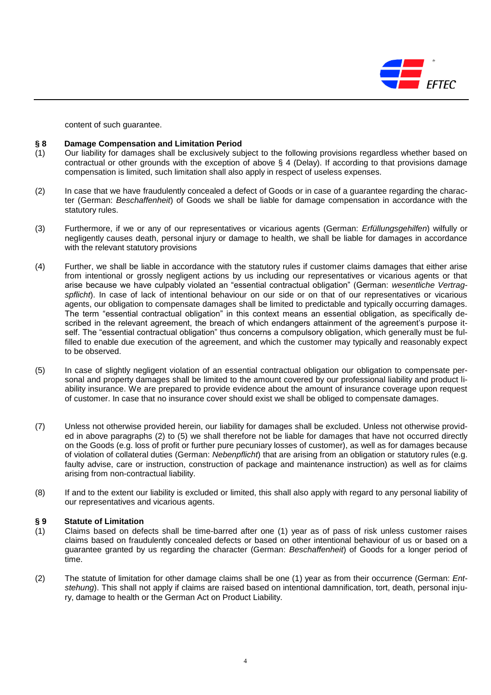

content of such guarantee.

#### **§ 8 Damage Compensation and Limitation Period**

- (1) Our liability for damages shall be exclusively subject to the following provisions regardless whether based on contractual or other grounds with the exception of above § 4 (Delay). If according to that provisions damage compensation is limited, such limitation shall also apply in respect of useless expenses.
- (2) In case that we have fraudulently concealed a defect of Goods or in case of a guarantee regarding the character (German: *Beschaffenheit*) of Goods we shall be liable for damage compensation in accordance with the statutory rules.
- (3) Furthermore, if we or any of our representatives or vicarious agents (German: *Erfüllungsgehilfen*) wilfully or negligently causes death, personal injury or damage to health, we shall be liable for damages in accordance with the relevant statutory provisions
- (4) Further, we shall be liable in accordance with the statutory rules if customer claims damages that either arise from intentional or grossly negligent actions by us including our representatives or vicarious agents or that arise because we have culpably violated an "essential contractual obligation" (German: *wesentliche Vertragspflicht*). In case of lack of intentional behaviour on our side or on that of our representatives or vicarious agents, our obligation to compensate damages shall be limited to predictable and typically occurring damages. The term "essential contractual obligation" in this context means an essential obligation, as specifically described in the relevant agreement, the breach of which endangers attainment of the agreement's purpose itself. The "essential contractual obligation" thus concerns a compulsory obligation, which generally must be fulfilled to enable due execution of the agreement, and which the customer may typically and reasonably expect to be observed.
- (5) In case of slightly negligent violation of an essential contractual obligation our obligation to compensate personal and property damages shall be limited to the amount covered by our professional liability and product liability insurance. We are prepared to provide evidence about the amount of insurance coverage upon request of customer. In case that no insurance cover should exist we shall be obliged to compensate damages.
- (7) Unless not otherwise provided herein, our liability for damages shall be excluded. Unless not otherwise provided in above paragraphs (2) to (5) we shall therefore not be liable for damages that have not occurred directly on the Goods (e.g. loss of profit or further pure pecuniary losses of customer), as well as for damages because of violation of collateral duties (German: *Nebenpflicht*) that are arising from an obligation or statutory rules (e.g. faulty advise, care or instruction, construction of package and maintenance instruction) as well as for claims arising from non-contractual liability.
- (8) If and to the extent our liability is excluded or limited, this shall also apply with regard to any personal liability of our representatives and vicarious agents.

#### **§ 9 Statute of Limitation**

- (1) Claims based on defects shall be time-barred after one (1) year as of pass of risk unless customer raises claims based on fraudulently concealed defects or based on other intentional behaviour of us or based on a guarantee granted by us regarding the character (German: *Beschaffenheit*) of Goods for a longer period of time.
- (2) The statute of limitation for other damage claims shall be one (1) year as from their occurrence (German: *Entstehung*). This shall not apply if claims are raised based on intentional damnification, tort, death, personal injury, damage to health or the German Act on Product Liability.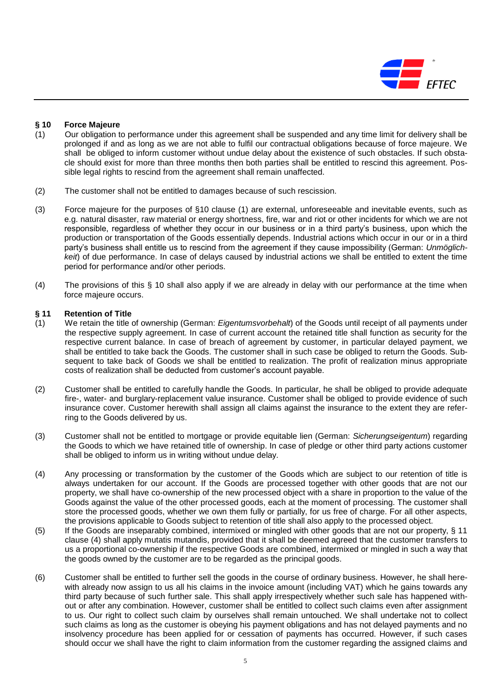

# **§ 10 Force Majeure**

- (1) Our obligation to performance under this agreement shall be suspended and any time limit for delivery shall be prolonged if and as long as we are not able to fulfil our contractual obligations because of force majeure. We shall be obliged to inform customer without undue delay about the existence of such obstacles. If such obstacle should exist for more than three months then both parties shall be entitled to rescind this agreement. Possible legal rights to rescind from the agreement shall remain unaffected.
- (2) The customer shall not be entitled to damages because of such rescission.
- (3) Force majeure for the purposes of §10 clause (1) are external, unforeseeable and inevitable events, such as e.g. natural disaster, raw material or energy shortness, fire, war and riot or other incidents for which we are not responsible, regardless of whether they occur in our business or in a third party's business, upon which the production or transportation of the Goods essentially depends. Industrial actions which occur in our or in a third party's business shall entitle us to rescind from the agreement if they cause impossibility (German: *Unmöglichkeit*) of due performance. In case of delays caused by industrial actions we shall be entitled to extent the time period for performance and/or other periods.
- (4) The provisions of this § 10 shall also apply if we are already in delay with our performance at the time when force majeure occurs.

#### **§ 11 Retention of Title**

- (1) We retain the title of ownership (German: *Eigentumsvorbehalt*) of the Goods until receipt of all payments under the respective supply agreement. In case of current account the retained title shall function as security for the respective current balance. In case of breach of agreement by customer, in particular delayed payment, we shall be entitled to take back the Goods. The customer shall in such case be obliged to return the Goods. Subsequent to take back of Goods we shall be entitled to realization. The profit of realization minus appropriate costs of realization shall be deducted from customer's account payable.
- (2) Customer shall be entitled to carefully handle the Goods. In particular, he shall be obliged to provide adequate fire-, water- and burglary-replacement value insurance. Customer shall be obliged to provide evidence of such insurance cover. Customer herewith shall assign all claims against the insurance to the extent they are referring to the Goods delivered by us.
- (3) Customer shall not be entitled to mortgage or provide equitable lien (German: *Sicherungseigentum*) regarding the Goods to which we have retained title of ownership. In case of pledge or other third party actions customer shall be obliged to inform us in writing without undue delay.
- (4) Any processing or transformation by the customer of the Goods which are subject to our retention of title is always undertaken for our account. If the Goods are processed together with other goods that are not our property, we shall have co-ownership of the new processed object with a share in proportion to the value of the Goods against the value of the other processed goods, each at the moment of processing. The customer shall store the processed goods, whether we own them fully or partially, for us free of charge. For all other aspects, the provisions applicable to Goods subject to retention of title shall also apply to the processed object.
- (5) If the Goods are inseparably combined, intermixed or mingled with other goods that are not our property, § 11 clause (4) shall apply mutatis mutandis, provided that it shall be deemed agreed that the customer transfers to us a proportional co-ownership if the respective Goods are combined, intermixed or mingled in such a way that the goods owned by the customer are to be regarded as the principal goods.
- (6) Customer shall be entitled to further sell the goods in the course of ordinary business. However, he shall herewith already now assign to us all his claims in the invoice amount (including VAT) which he gains towards any third party because of such further sale. This shall apply irrespectively whether such sale has happened without or after any combination. However, customer shall be entitled to collect such claims even after assignment to us. Our right to collect such claim by ourselves shall remain untouched. We shall undertake not to collect such claims as long as the customer is obeying his payment obligations and has not delayed payments and no insolvency procedure has been applied for or cessation of payments has occurred. However, if such cases should occur we shall have the right to claim information from the customer regarding the assigned claims and